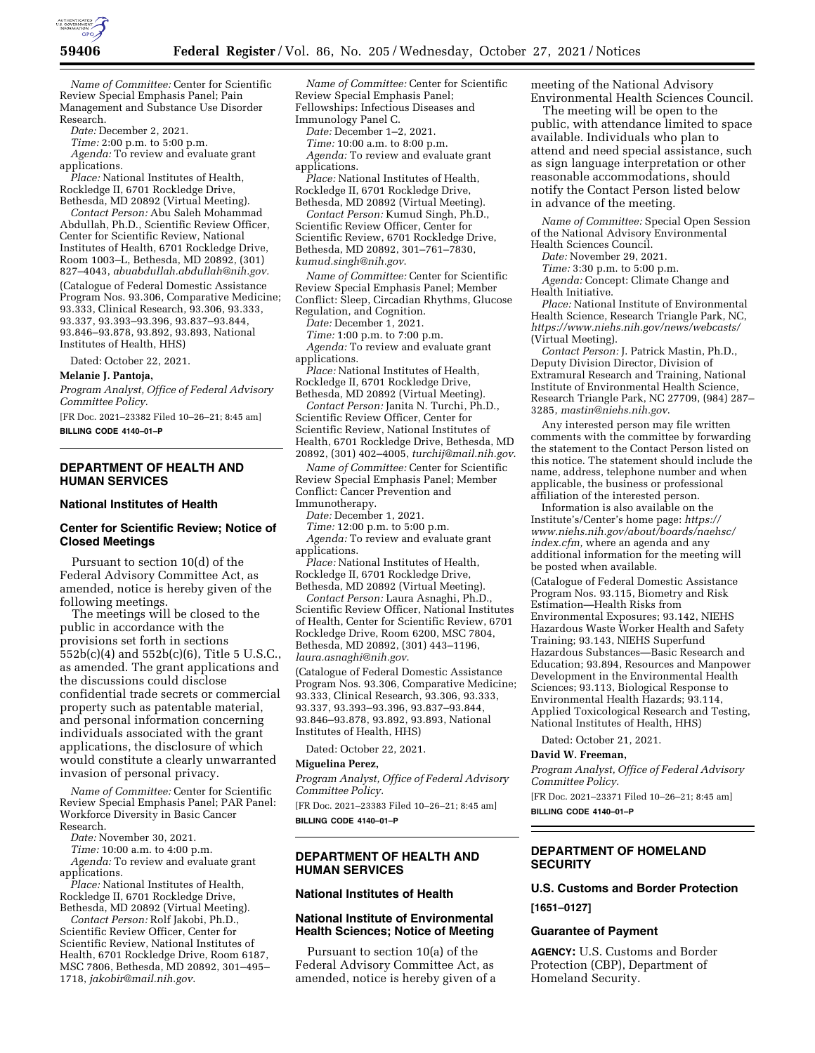

*Name of Committee:* Center for Scientific Review Special Emphasis Panel; Pain Management and Substance Use Disorder Research.

*Date:* December 2, 2021.

*Time:* 2:00 p.m. to 5:00 p.m.

*Agenda:* To review and evaluate grant applications.

*Place:* National Institutes of Health, Rockledge II, 6701 Rockledge Drive, Bethesda, MD 20892 (Virtual Meeting).

*Contact Person:* Abu Saleh Mohammad Abdullah, Ph.D., Scientific Review Officer, Center for Scientific Review, National Institutes of Health, 6701 Rockledge Drive, Room 1003–L, Bethesda, MD 20892, (301) 827–4043, *[abuabdullah.abdullah@nih.gov.](mailto:abuabdullah.abdullah@nih.gov)*  (Catalogue of Federal Domestic Assistance Program Nos. 93.306, Comparative Medicine; 93.333, Clinical Research, 93.306, 93.333, 93.337, 93.393–93.396, 93.837–93.844, 93.846–93.878, 93.892, 93.893, National Institutes of Health, HHS)

Dated: October 22, 2021.

#### **Melanie J. Pantoja,**

*Program Analyst, Office of Federal Advisory Committee Policy.* 

[FR Doc. 2021–23382 Filed 10–26–21; 8:45 am]

**BILLING CODE 4140–01–P** 

# **DEPARTMENT OF HEALTH AND HUMAN SERVICES**

#### **National Institutes of Health**

# **Center for Scientific Review; Notice of Closed Meetings**

Pursuant to section 10(d) of the Federal Advisory Committee Act, as amended, notice is hereby given of the following meetings.

The meetings will be closed to the public in accordance with the provisions set forth in sections 552b(c)(4) and 552b(c)(6), Title 5 U.S.C., as amended. The grant applications and the discussions could disclose confidential trade secrets or commercial property such as patentable material, and personal information concerning individuals associated with the grant applications, the disclosure of which would constitute a clearly unwarranted invasion of personal privacy.

*Name of Committee:* Center for Scientific Review Special Emphasis Panel; PAR Panel: Workforce Diversity in Basic Cancer Research.

*Date:* November 30, 2021.

*Time:* 10:00 a.m. to 4:00 p.m. *Agenda:* To review and evaluate grant applications.

*Place:* National Institutes of Health, Rockledge II, 6701 Rockledge Drive,

Bethesda, MD 20892 (Virtual Meeting). *Contact Person:* Rolf Jakobi, Ph.D.,

Scientific Review Officer, Center for Scientific Review, National Institutes of Health, 6701 Rockledge Drive, Room 6187, MSC 7806, Bethesda, MD 20892, 301–495– 1718, *[jakobir@mail.nih.gov](mailto:jakobir@mail.nih.gov)*.

*Name of Committee:* Center for Scientific Review Special Emphasis Panel; Fellowships: Infectious Diseases and Immunology Panel C.

*Date:* December 1–2, 2021.

*Time:* 10:00 a.m. to 8:00 p.m.

*Agenda:* To review and evaluate grant applications.

*Place:* National Institutes of Health, Rockledge II, 6701 Rockledge Drive, Bethesda, MD 20892 (Virtual Meeting).

*Contact Person:* Kumud Singh, Ph.D., Scientific Review Officer, Center for Scientific Review, 6701 Rockledge Drive, Bethesda, MD 20892, 301–761–7830, *[kumud.singh@nih.gov](mailto:kumud.singh@nih.gov)*.

*Name of Committee:* Center for Scientific Review Special Emphasis Panel; Member Conflict: Sleep, Circadian Rhythms, Glucose Regulation, and Cognition.

*Date:* December 1, 2021.

*Time:* 1:00 p.m. to 7:00 p.m. *Agenda:* To review and evaluate grant applications.

*Place:* National Institutes of Health, Rockledge II, 6701 Rockledge Drive, Bethesda, MD 20892 (Virtual Meeting).

*Contact Person:* Janita N. Turchi, Ph.D., Scientific Review Officer, Center for Scientific Review, National Institutes of Health, 6701 Rockledge Drive, Bethesda, MD 20892, (301) 402–4005, *[turchij@mail.nih.gov](mailto:turchij@mail.nih.gov)*.

*Name of Committee:* Center for Scientific Review Special Emphasis Panel; Member Conflict: Cancer Prevention and Immunotherapy.

*Date:* December 1, 2021.

*Time:* 12:00 p.m. to 5:00 p.m. *Agenda:* To review and evaluate grant applications.

*Place:* National Institutes of Health, Rockledge II, 6701 Rockledge Drive, Bethesda, MD 20892 (Virtual Meeting).

*Contact Person:* Laura Asnaghi, Ph.D.,

Scientific Review Officer, National Institutes of Health, Center for Scientific Review, 6701 Rockledge Drive, Room 6200, MSC 7804, Bethesda, MD 20892, (301) 443–1196, *[laura.asnaghi@nih.gov](mailto:laura.asnaghi@nih.gov)*.

(Catalogue of Federal Domestic Assistance Program Nos. 93.306, Comparative Medicine; 93.333, Clinical Research, 93.306, 93.333, 93.337, 93.393–93.396, 93.837–93.844, 93.846–93.878, 93.892, 93.893, National Institutes of Health, HHS)

Dated: October 22, 2021.

#### **Miguelina Perez,**

*Program Analyst, Office of Federal Advisory Committee Policy.* 

[FR Doc. 2021–23383 Filed 10–26–21; 8:45 am] **BILLING CODE 4140–01–P** 

# **DEPARTMENT OF HEALTH AND HUMAN SERVICES**

#### **National Institutes of Health**

# **National Institute of Environmental Health Sciences; Notice of Meeting**

Pursuant to section 10(a) of the Federal Advisory Committee Act, as amended, notice is hereby given of a meeting of the National Advisory Environmental Health Sciences Council.

The meeting will be open to the public, with attendance limited to space available. Individuals who plan to attend and need special assistance, such as sign language interpretation or other reasonable accommodations, should notify the Contact Person listed below in advance of the meeting.

*Name of Committee:* Special Open Session of the National Advisory Environmental Health Sciences Council.

*Date:* November 29, 2021.

*Time:* 3:30 p.m. to 5:00 p.m.

*Agenda:* Concept: Climate Change and Health Initiative.

*Place:* National Institute of Environmental Health Science, Research Triangle Park, NC, *<https://www.niehs.nih.gov/news/webcasts/>*  (Virtual Meeting).

*Contact Person:* J. Patrick Mastin, Ph.D., Deputy Division Director, Division of Extramural Research and Training, National Institute of Environmental Health Science, Research Triangle Park, NC 27709, (984) 287– 3285, *[mastin@niehs.nih.gov](mailto:mastin@niehs.nih.gov)*.

Any interested person may file written comments with the committee by forwarding the statement to the Contact Person listed on this notice. The statement should include the name, address, telephone number and when applicable, the business or professional affiliation of the interested person.

Information is also available on the Institute's/Center's home page: *[https://](https://www.niehs.nih.gov/about/boards/naehsc/index.cfm) [www.niehs.nih.gov/about/boards/naehsc/](https://www.niehs.nih.gov/about/boards/naehsc/index.cfm)  [index.cfm,](https://www.niehs.nih.gov/about/boards/naehsc/index.cfm)* where an agenda and any additional information for the meeting will be posted when available.

(Catalogue of Federal Domestic Assistance Program Nos. 93.115, Biometry and Risk Estimation—Health Risks from Environmental Exposures; 93.142, NIEHS Hazardous Waste Worker Health and Safety Training; 93.143, NIEHS Superfund Hazardous Substances—Basic Research and Education; 93.894, Resources and Manpower Development in the Environmental Health Sciences; 93.113, Biological Response to Environmental Health Hazards; 93.114, Applied Toxicological Research and Testing, National Institutes of Health, HHS)

Dated: October 21, 2021.

## **David W. Freeman,**

*Program Analyst, Office of Federal Advisory Committee Policy.* 

[FR Doc. 2021–23371 Filed 10–26–21; 8:45 am] **BILLING CODE 4140–01–P** 

# **DEPARTMENT OF HOMELAND SECURITY**

# **U.S. Customs and Border Protection**

**[1651–0127]** 

### **Guarantee of Payment**

**AGENCY:** U.S. Customs and Border Protection (CBP), Department of Homeland Security.